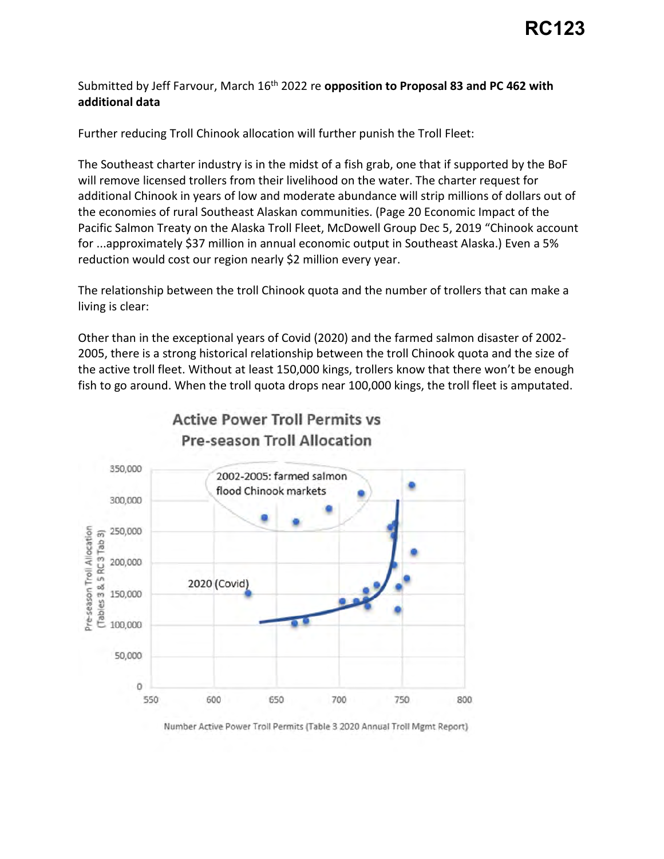### Submitted by Jeff Farvour, March 16<sup>th</sup> 2022 re **opposition to Proposal 83 and PC 462 with additional data**

Further reducing Troll Chinook allocation will further punish the Troll Fleet:

The Southeast charter industry is in the midst of a fish grab, one that if supported by the BoF will remove licensed trollers from their livelihood on the water. The charter request for additional Chinook in years of low and moderate abundance will strip millions of dollars out of the economies of rural Southeast Alaskan communities. (Page 20 Economic Impact of the Pacific Salmon Treaty on the Alaska Troll Fleet, McDowell Group Dec 5, 2019 "Chinook account for ...approximately \$37 million in annual economic output in Southeast Alaska.) Even a 5% reduction would cost our region nearly \$2 million every year.

The relationship between the troll Chinook quota and the number of trollers that can make a living is clear:

Other than in the exceptional years of Covid (2020) and the farmed salmon disaster of 2002- 2005, there is a strong historical relationship between the troll Chinook quota and the size of the active troll fleet. Without at least 150,000 kings, trollers know that there won't be enough fish to go around. When the troll quota drops near 100,000 kings, the troll fleet is amputated.



### **Active Power Troll Permits vs Pre-season Troll Allocation**

Number Active Power Troll Permits (Table 3 2020 Annual Troll Mgmt Report}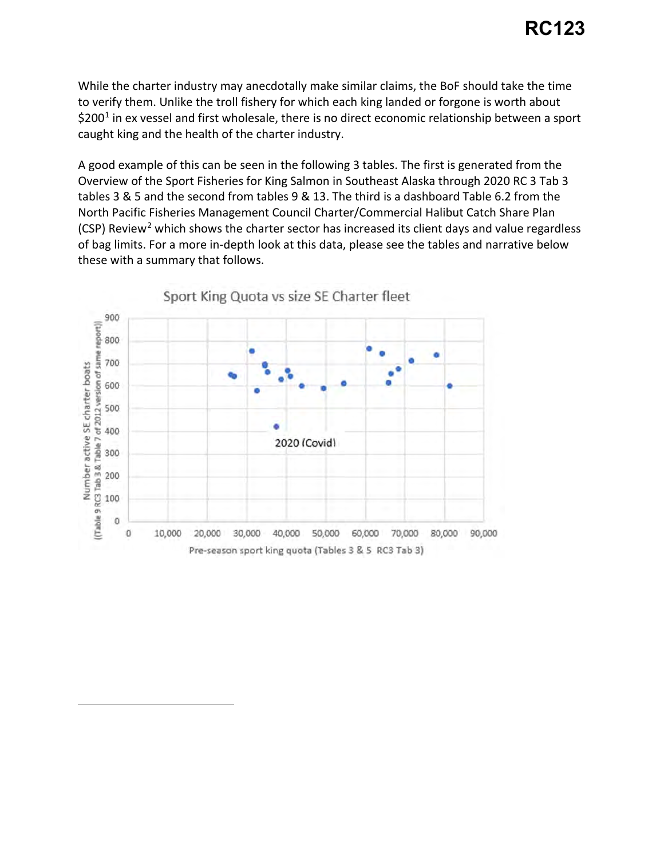While the charter industry may anecdotally make similar claims, the BoF should take the time to verify them. Unlike the troll fishery for which each king landed or forgone is worth about  $$200<sup>1</sup>$  in ex vessel and first wholesale, there is no direct economic relationship between a sport caught king and the health of the charter industry.

A good example of this can be seen in the following 3 tables. The first is generated from the Overview of the Sport Fisheries for King Salmon in Southeast Alaska through 2020 RC 3 Tab 3 tables 3 & 5 and the second from tables 9 & 13. The third is a dashboard Table 6.2 from the North Pacific Fisheries Management Council Charter/Commercial Halibut Catch Share Plan (CSP) Review<sup>2</sup> which shows the charter sector has increased its client days and value regardless of bag limits. For a more in-depth look at this data, please see the tables and narrative below these with a summary that follows.

<span id="page-1-1"></span><span id="page-1-0"></span>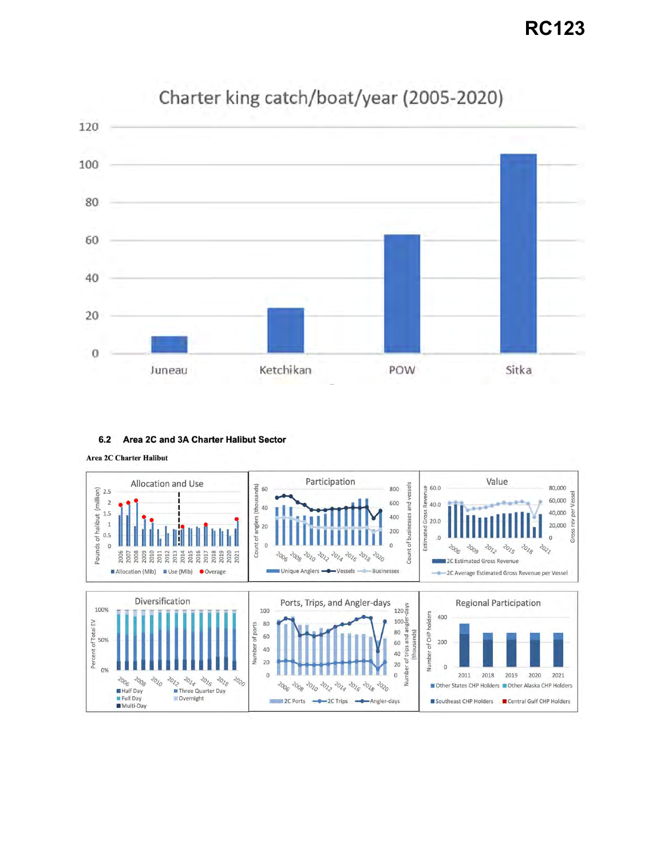**RC123**



# Charter king catch/boat/year (2005-2020)

#### **6.2 Area 2C and 3A Charter Halibut Sector**

#### Area 2C Charter Halibut

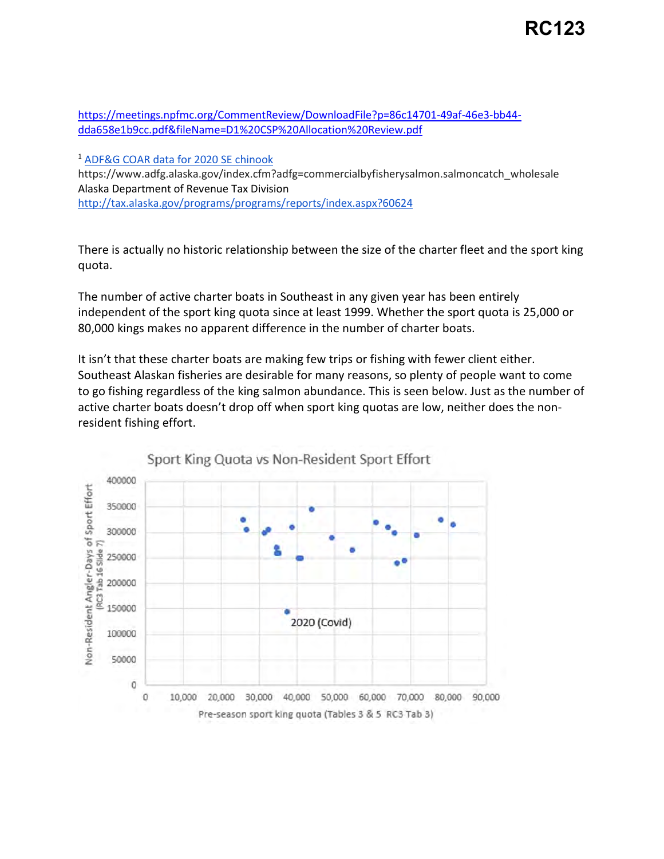[https://meetings.npfmc.org/CommentReview/DownloadFile?p=86c14701-49af-46e3-bb44](https://meetings.npfmc.org/CommentReview/DownloadFile?p=86c14701-49af-46e3-bb44-dda658e1b9cc.pdf&fileName=D1%20CSP%20Allocation%20Review.pdf) [dda658e1b9cc.pdf&fileName=D1%20CSP%20Allocation%20Review.pdf](https://meetings.npfmc.org/CommentReview/DownloadFile?p=86c14701-49af-46e3-bb44-dda658e1b9cc.pdf&fileName=D1%20CSP%20Allocation%20Review.pdf) 

1 [ADF&G COAR data for 2020 SE chinook](https://www.adfg.alaska.gov/index.cfm?adfg=commercialbyfisherysalmon.salmoncatch_wholesale)  [https://www.adfg.alaska.gov/index.cfm?adfg=commercialbyfisherysalmon.salmoncatch\\_wholesale](https://www.adfg.alaska.gov/index.cfm?adfg=commercialbyfisherysalmon.salmoncatch_wholesale)  Alaska Department of Revenue Tax Division <http://tax.alaska.gov/programs/programs/reports/index.aspx?60624>

There is actually no historic relationship between the size of the charter fleet and the sport king quota.

The number of active charter boats in Southeast in any given year has been entirely independent of the sport king quota since at least 1999. Whether the sport quota is 25,000 or 80,000 kings makes no apparent difference in the number of charter boats.

It isn't that these charter boats are making few trips or fishing with fewer client either. Southeast Alaskan fisheries are desirable for many reasons, so plenty of people want to come to go fishing regardless of the king salmon abundance. This is seen below. Just as the number of active charter boats doesn't drop off when sport king quotas are low, neither does the nonresident fishing effort.



Sport King Quota vs Non-Resident Sport Effort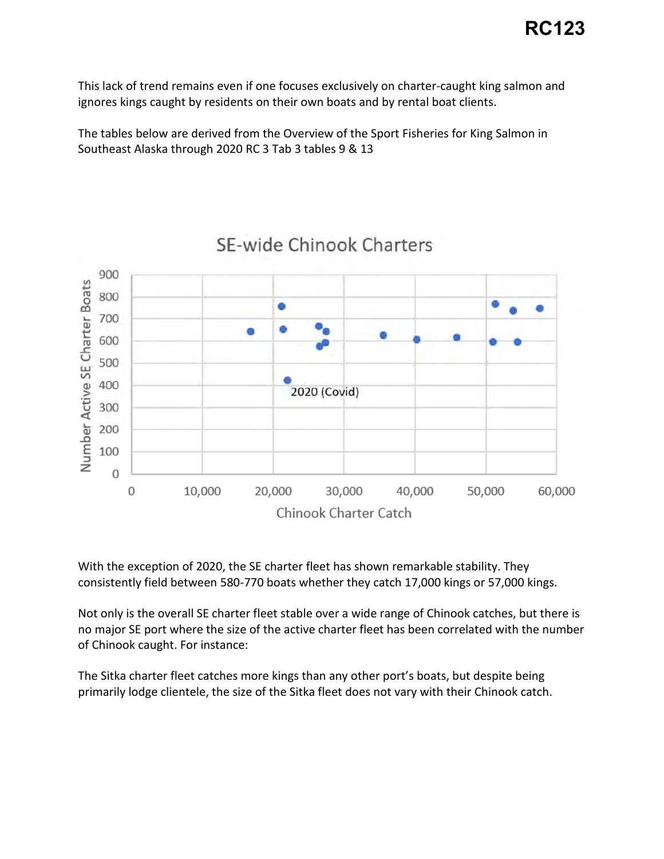This lack of trend remains even if one focuses exclusively on charter-caught king salmon and ignores kings caught by residents on their own boats and by rental boat clients.

The tables below are derived from the Overview of the Sport Fisheries for King Salmon in Southeast Alaska through 2020 RC 3 Tab 3 tables 9 & 13



# **SE-wide Chinook Charters**

With the exception of 2020, the SE charter fleet has shown remarkable stability. They consistently field between 580-770 boats whether they catch 17,000 kings or 57,000 kings.

Not only is the overall SE charter fleet stable over a wide range of Chinook catches, but there is no major SE port where the size of the active charter fleet has been correlated with the number of Chinook caught. For instance:

The Sitka charter fleet catches more kings than any other port's boats, but despite being primarily lodge clientele, the size of the Sitka fleet does not vary with their Chinook catch.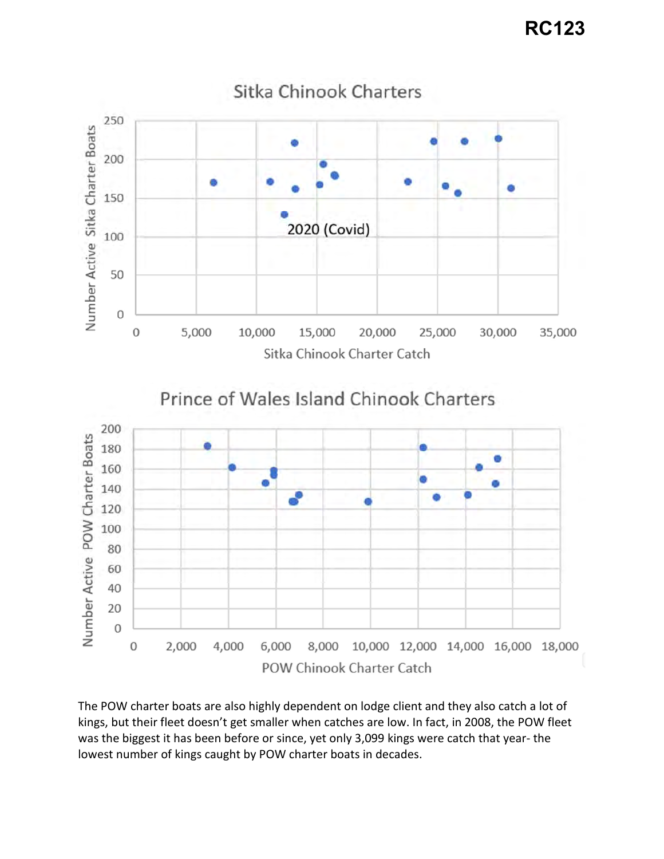

The POW charter boats are also highly dependent on lodge client and they also catch a lot of kings, but their fleet doesn't get smaller when catches are low. In fact, in 2008, the POW fleet was the biggest it has been before or since, yet only 3,099 kings were catch that year- the lowest number of kings caught by POW charter boats in decades.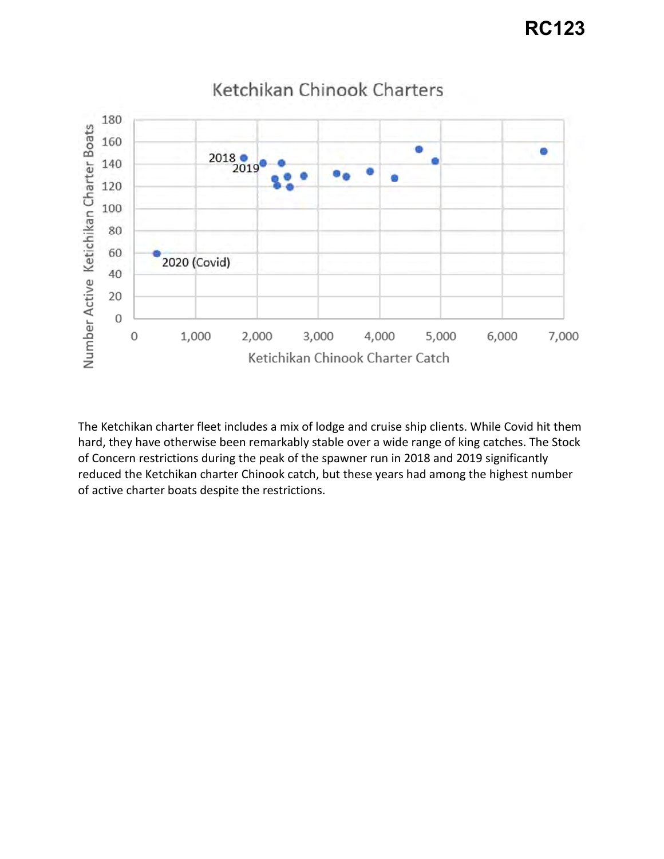

# **Ketchikan Chinook Charters**

The Ketchikan charter fleet includes a mix of lodge and cruise ship clients. While Covid hit them hard, they have otherwise been remarkably stable over a wide range of king catches. The Stock of Concern restrictions during the peak of the spawner run in 2018 and 2019 significantly reduced the Ketchikan charter Chinook catch, but these years had among the highest number of active charter boats despite the restrictions.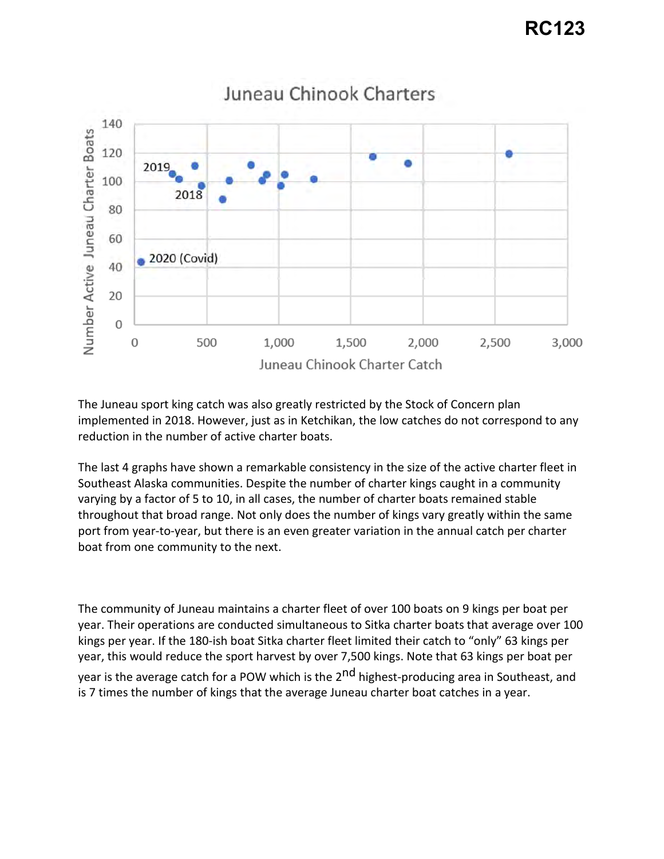

# **Juneau Chinook Charters**

The Juneau sport king catch was also greatly restricted by the Stock of Concern plan implemented in 2018. However, just as in Ketchikan, the low catches do not correspond to any reduction in the number of active charter boats.

The last 4 graphs have shown a remarkable consistency in the size of the active charter fleet in Southeast Alaska communities. Despite the number of charter kings caught in a community varying by a factor of 5 to 10, in all cases, the number of charter boats remained stable throughout that broad range. Not only does the number of kings vary greatly within the same port from year-to-year, but there is an even greater variation in the annual catch per charter boat from one community to the next.

The community of Juneau maintains a charter fleet of over 100 boats on 9 kings per boat per year. Their operations are conducted simultaneous to Sitka charter boats that average over 100 kings per year. If the 180-ish boat Sitka charter fleet limited their catch to "only" 63 kings per year, this would reduce the sport harvest by over 7,500 kings. Note that 63 kings per boat per year is the average catch for a POW which is the 2<sup>nd</sup> highest-producing area in Southeast, and is 7 times the number of kings that the average Juneau charter boat catches in a year.